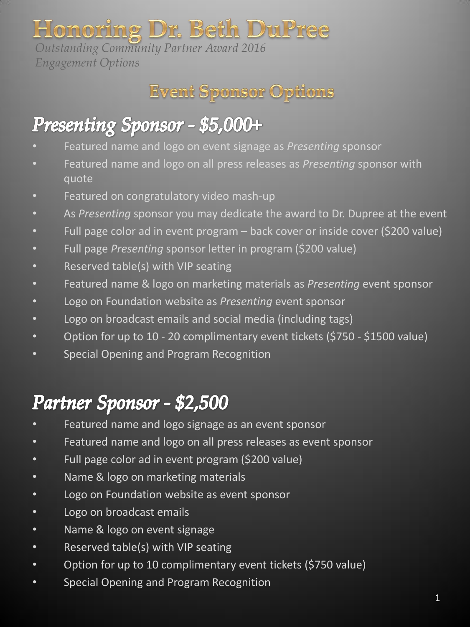# Honoring Dr. Beth DuPree

*Outstanding Community Partner Award 2016 Engagement Options*



## Presenting Sponsor - \$5,000+

- Featured name and logo on event signage as *Presenting* sponsor
- Featured name and logo on all press releases as *Presenting* sponsor with quote
- Featured on congratulatory video mash-up
- As *Presenting* sponsor you may dedicate the award to Dr. Dupree at the event
- Full page color ad in event program back cover or inside cover (\$200 value)
- Full page *Presenting* sponsor letter in program (\$200 value)
- Reserved table(s) with VIP seating
- Featured name & logo on marketing materials as *Presenting* event sponsor
- Logo on Foundation website as *Presenting* event sponsor
- Logo on broadcast emails and social media (including tags)
- Option for up to 10 20 complimentary event tickets (\$750 \$1500 value)
- Special Opening and Program Recognition

## Partner Sponsor - \$2,500

- Featured name and logo signage as an event sponsor
- Featured name and logo on all press releases as event sponsor
- Full page color ad in event program (\$200 value)
- Name & logo on marketing materials
- Logo on Foundation website as event sponsor
- Logo on broadcast emails
- Name & logo on event signage
- Reserved table(s) with VIP seating
- Option for up to 10 complimentary event tickets (\$750 value)
- Special Opening and Program Recognition